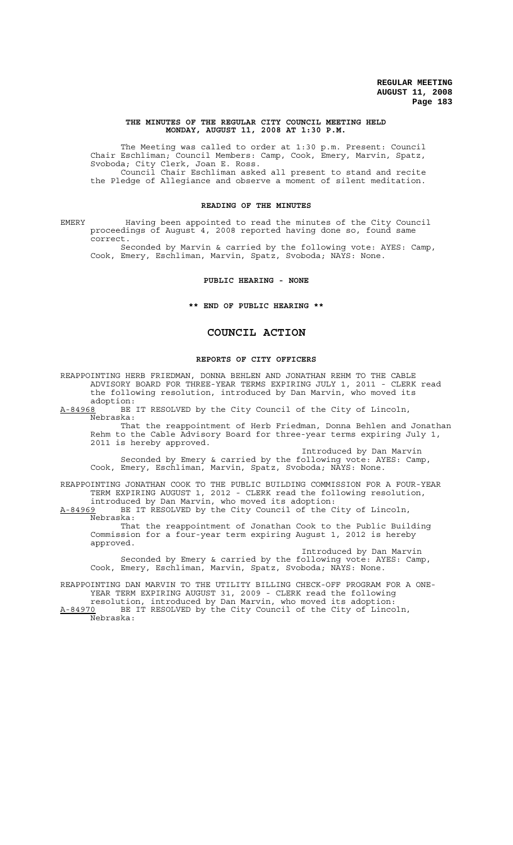#### **THE MINUTES OF THE REGULAR CITY COUNCIL MEETING HELD MONDAY, AUGUST 11, 2008 AT 1:30 P.M.**

The Meeting was called to order at 1:30 p.m. Present: Council Chair Eschliman; Council Members: Camp, Cook, Emery, Marvin, Spatz, Svoboda; City Clerk, Joan E. Ross. Council Chair Eschliman asked all present to stand and recite the Pledge of Allegiance and observe a moment of silent meditation.

#### **READING OF THE MINUTES**

EMERY Having been appointed to read the minutes of the City Council proceedings of August 4, 2008 reported having done so, found same correct.

Seconded by Marvin & carried by the following vote: AYES: Camp, Cook, Emery, Eschliman, Marvin, Spatz, Svoboda; NAYS: None.

#### **PUBLIC HEARING - NONE**

**\*\* END OF PUBLIC HEARING \*\***

# **COUNCIL ACTION**

# **REPORTS OF CITY OFFICERS**

REAPPOINTING HERB FRIEDMAN, DONNA BEHLEN AND JONATHAN REHM TO THE CABLE ADVISORY BOARD FOR THREE-YEAR TERMS EXPIRING JULY 1, 2011 - CLERK read the following resolution, introduced by Dan Marvin, who moved its adoption:

A-84968 BE IT RESOLVED by the City Council of the City of Lincoln,  $A-84968$  BE<br>Nebraska:

That the reappointment of Herb Friedman, Donna Behlen and Jonathan Rehm to the Cable Advisory Board for three-year terms expiring July 1, 2011 is hereby approved.

Introduced by Dan Marvin Seconded by Emery & carried by the following vote: AYES: Camp, Cook, Emery, Eschliman, Marvin, Spatz, Svoboda; NAYS: None.

REAPPOINTING JONATHAN COOK TO THE PUBLIC BUILDING COMMISSION FOR A FOUR-YEAR TERM EXPIRING AUGUST 1, 2012 - CLERK read the following resolution, introduced by Dan Marvin, who moved its adoption:

A-84969 BE IT RESOLVED by the City Council of the City of Lincoln, Nebraska:

That the reappointment of Jonathan Cook to the Public Building Commission for a four-year term expiring August 1, 2012 is hereby approved.

Introduced by Dan Marvin Seconded by Emery & carried by the following vote: AYES: Camp, Cook, Emery, Eschliman, Marvin, Spatz, Svoboda; NAYS: None.

REAPPOINTING DAN MARVIN TO THE UTILITY BILLING CHECK-OFF PROGRAM FOR A ONE-YEAR TERM EXPIRING AUGUST 31, 2009 - CLERK read the following resolution, introduced by Dan Marvin, who moved its adoption:

A-84970 BE IT RESOLVED by the City Council of the City of Lincoln, Nebraska: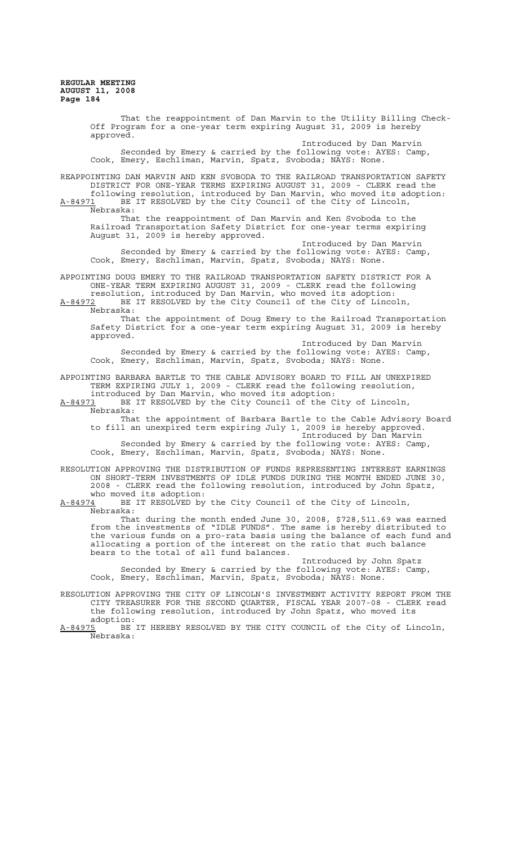That the reappointment of Dan Marvin to the Utility Billing Check-Off Program for a one-year term expiring August 31, 2009 is hereby approved. Introduced by Dan Marvin Seconded by Emery & carried by the following vote: AYES: Camp, Cook, Emery, Eschliman, Marvin, Spatz, Svoboda; NAYS: None. REAPPOINTING DAN MARVIN AND KEN SVOBODA TO THE RAILROAD TRANSPORTATION SAFETY DISTRICT FOR ONE-YEAR TERMS EXPIRING AUGUST 31, 2009 - CLERK read the following resolution, introduced by Dan Marvin, who moved its adoption: A-84971 BE IT RESOLVED by the City Council of the City of Lincoln,  $A-84971$  BE<br>Nebraska: That the reappointment of Dan Marvin and Ken Svoboda to the Railroad Transportation Safety District for one-year terms expiring August 31, 2009 is hereby approved. Introduced by Dan Marvin Seconded by Emery & carried by the following vote: AYES: Camp, Cook, Emery, Eschliman, Marvin, Spatz, Svoboda; NAYS: None. APPOINTING DOUG EMERY TO THE RAILROAD TRANSPORTATION SAFETY DISTRICT FOR A ONE-YEAR TERM EXPIRING AUGUST 31, 2009 - CLERK read the following resolution, introduced by Dan Marvin, who moved its adoption: A-84972 BE IT RESOLVED by the City Council of the City of Lincoln, Nebraska: That the appointment of Doug Emery to the Railroad Transportation Safety District for a one-year term expiring August 31, 2009 is hereby approved. Introduced by Dan Marvin Seconded by Emery & carried by the following vote: AYES: Camp, Cook, Emery, Eschliman, Marvin, Spatz, Svoboda; NAYS: None. APPOINTING BARBARA BARTLE TO THE CABLE ADVISORY BOARD TO FILL AN UNEXPIRED TERM EXPIRING JULY 1, 2009 - CLERK read the following resolution, introduced by Dan Marvin, who moved its adoption: A-84973 BE IT RESOLVED by the City Council of the City of Lincoln, Nebraska: That the appointment of Barbara Bartle to the Cable Advisory Board to fill an unexpired term expiring July 1, 2009 is hereby approved. Introduced by Dan Marvin Seconded by Emery & carried by the following vote: AYES: Camp, Cook, Emery, Eschliman, Marvin, Spatz, Svoboda; NAYS: None. RESOLUTION APPROVING THE DISTRIBUTION OF FUNDS REPRESENTING INTEREST EARNINGS ON SHORT-TERM INVESTMENTS OF IDLE FUNDS DURING THE MONTH ENDED JUNE 30, 2008 - CLERK read the following resolution, introduced by John Spatz, who moved its adoption:<br>A-84974 BE IT RESOLVED bv BE IT RESOLVED by the City Council of the City of Lincoln, Nebraska: That during the month ended June 30, 2008, \$728,511.69 was earned from the investments of "IDLE FUNDS". The same is hereby distributed to the various funds on a pro-rata basis using the balance of each fund and allocating a portion of the interest on the ratio that such balance bears to the total of all fund balances. Introduced by John Spatz Seconded by Emery & carried by the following vote: AYES: Camp, Cook, Emery, Eschliman, Marvin, Spatz, Svoboda; NAYS: None. RESOLUTION APPROVING THE CITY OF LINCOLN'S INVESTMENT ACTIVITY REPORT FROM THE CITY TREASURER FOR THE SECOND QUARTER, FISCAL YEAR 2007-08 - CLERK read the following resolution, introduced by John Spatz, who moved its adoption:<br>A-84975 BE BE IT HEREBY RESOLVED BY THE CITY COUNCIL of the City of Lincoln, Nebraska: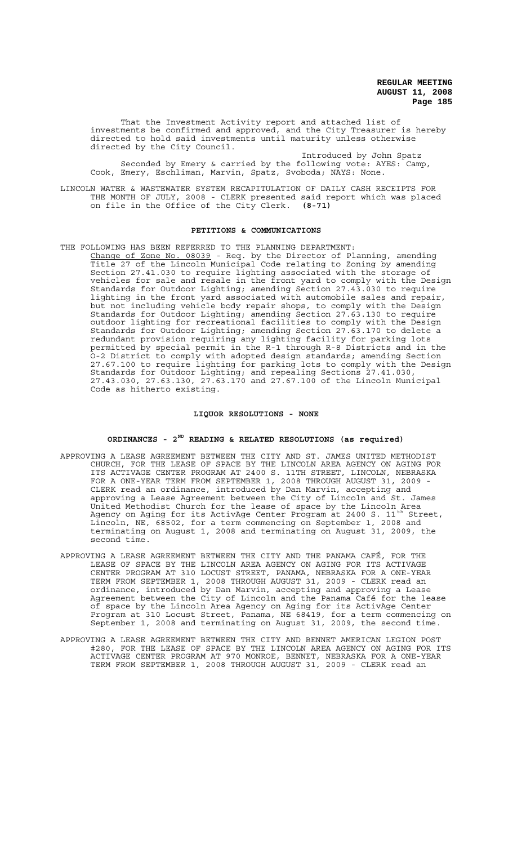That the Investment Activity report and attached list of investments be confirmed and approved, and the City Treasurer is hereby directed to hold said investments until maturity unless otherwise directed by the City Council.

Introduced by John Spatz Seconded by Emery & carried by the following vote: AYES: Camp, Cook, Emery, Eschliman, Marvin, Spatz, Svoboda; NAYS: None.

LINCOLN WATER & WASTEWATER SYSTEM RECAPITULATION OF DAILY CASH RECEIPTS FOR THE MONTH OF JULY, 2008 - CLERK presented said report which was placed on file in the Office of the City Clerk. **(8-71)**

#### **PETITIONS & COMMUNICATIONS**

THE FOLLOWING HAS BEEN REFERRED TO THE PLANNING DEPARTMENT: Change of Zone No. 08039 - Req. by the Director of Planning, amending Title 27 of the Lincoln Municipal Code relating to Zoning by amending Section 27.41.030 to require lighting associated with the storage of vehicles for sale and resale in the front yard to comply with the Design Standards for Outdoor Lighting; amending Section 27.43.030 to require lighting in the front yard associated with automobile sales and repair, but not including vehicle body repair shops, to comply with the Design Standards for Outdoor Lighting; amending Section 27.63.130 to require outdoor lighting for recreational facilities to comply with the Design Standards for Outdoor Lighting; amending Section 27.63.170 to delete a redundant provision requiring any lighting facility for parking lots permitted by special permit in the R-1 through R-8 Districts and in the O-2 District to comply with adopted design standards; amending Section 27.67.100 to require lighting for parking lots to comply with the Design Standards for Outdoor Lighting; and repealing Sections 27.41.030, 27.43.030, 27.63.130, 27.63.170 and 27.67.100 of the Lincoln Municipal Code as hitherto existing.

## **LIQUOR RESOLUTIONS - NONE**

#### **ORDINANCES - 2ND READING & RELATED RESOLUTIONS (as required)**

- APPROVING A LEASE AGREEMENT BETWEEN THE CITY AND ST. JAMES UNITED METHODIST CHURCH, FOR THE LEASE OF SPACE BY THE LINCOLN AREA AGENCY ON AGING FOR ITS ACTIVAGE CENTER PROGRAM AT 2400 S. 11TH STREET, LINCOLN, NEBRASKA FOR A ONE-YEAR TERM FROM SEPTEMBER 1, 2008 THROUGH AUGUST 31, 2009 - CLERK read an ordinance, introduced by Dan Marvin, accepting and approving a Lease Agreement between the City of Lincoln and St. James United Methodist Church for the lease of space by the Lincoln Area Agency on Aging for its ActivAge Center Program at 2400 S.  $11^{\text{th}}$  Street, Lincoln, NE, 68502, for a term commencing on September 1, 2008 and terminating on August 1, 2008 and terminating on August 31, 2009, the second time.
- APPROVING A LEASE AGREEMENT BETWEEN THE CITY AND THE PANAMA CAFÉ, FOR THE LEASE OF SPACE BY THE LINCOLN AREA AGENCY ON AGING FOR ITS ACTIVAGE CENTER PROGRAM AT 310 LOCUST STREET, PANAMA, NEBRASKA FOR A ONE-YEAR TERM FROM SEPTEMBER 1, 2008 THROUGH AUGUST 31, 2009 - CLERK read an ordinance, introduced by Dan Marvin, accepting and approving a Lease Agreement between the City of Lincoln and the Panama Café for the lease of space by the Lincoln Area Agency on Aging for its ActivAge Center Program at 310 Locust Street, Panama, NE 68419, for a term commencing on September 1, 2008 and terminating on August 31, 2009, the second time.
- APPROVING A LEASE AGREEMENT BETWEEN THE CITY AND BENNET AMERICAN LEGION POST #280, FOR THE LEASE OF SPACE BY THE LINCOLN AREA AGENCY ON AGING FOR ITS ACTIVAGE CENTER PROGRAM AT 970 MONROE, BENNET, NEBRASKA FOR A ONE-YEAR TERM FROM SEPTEMBER 1, 2008 THROUGH AUGUST 31, 2009 - CLERK read an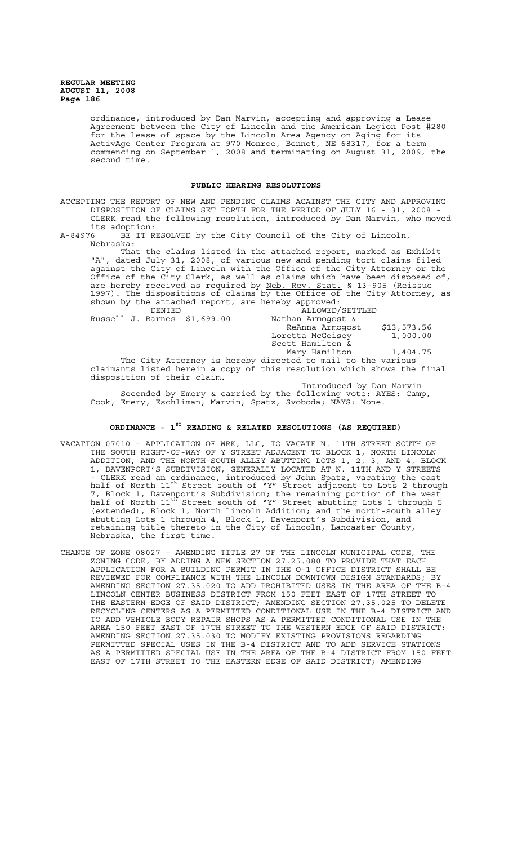> ordinance, introduced by Dan Marvin, accepting and approving a Lease Agreement between the City of Lincoln and the American Legion Post #280 for the lease of space by the Lincoln Area Agency on Aging for its ActivAge Center Program at 970 Monroe, Bennet, NE 68317, for a term commencing on September 1, 2008 and terminating on August 31, 2009, the second time.

#### **PUBLIC HEARING RESOLUTIONS**

ACCEPTING THE REPORT OF NEW AND PENDING CLAIMS AGAINST THE CITY AND APPROVING DISPOSITION OF CLAIMS SET FORTH FOR THE PERIOD OF JULY 16 - 31, 2008 - CLERK read the following resolution, introduced by Dan Marvin, who moved

its adoption:<br><u>A-84976</u> BE IT R BE IT RESOLVED by the City Council of the City of Lincoln, Nebraska:

That the claims listed in the attached report, marked as Exhibit "A", dated July 31, 2008, of various new and pending tort claims filed against the City of Lincoln with the Office of the City Attorney or the Office of the City Clerk, as well as claims which have been disposed of, are hereby received as required by Neb. Rev. Stat. § 13-905 (Reissue 1997). The dispositions of claims by the Office of the City Attorney, as shown by the attached report, are hereby approved:

| DENIED                                                                  | ALLOWED/SETTLED                                             |             |
|-------------------------------------------------------------------------|-------------------------------------------------------------|-------------|
| Russell J. Barnes \$1,699.00                                            | Nathan Armogost &                                           |             |
|                                                                         | ReAnna Armogost                                             | \$13,573.56 |
|                                                                         | Loretta McGeisey                                            | 1,000.00    |
|                                                                         | Scott Hamilton &                                            |             |
|                                                                         | Mary Hamilton                                               | 1,404.75    |
|                                                                         | The City Attorney is hereby directed to mail to the various |             |
| claimants listed herein a copy of this resolution which shows the final |                                                             |             |
| disposition of their claim.                                             |                                                             |             |
|                                                                         | The book die als de la company affected to                  |             |

Introduced by Dan Marvin Seconded by Emery & carried by the following vote: AYES: Camp, Cook, Emery, Eschliman, Marvin, Spatz, Svoboda; NAYS: None.

# **ORDINANCE - 1ST READING & RELATED RESOLUTIONS (AS REQUIRED)**

- VACATION 07010 APPLICATION OF WRK, LLC, TO VACATE N. 11TH STREET SOUTH OF THE SOUTH RIGHT-OF-WAY OF Y STREET ADJACENT TO BLOCK 1, NORTH LINCOLN ADDITION, AND THE NORTH-SOUTH ALLEY ABUTTING LOTS 1, 2, 3, AND 4, BLOCK 1, DAVENPORT'S SUBDIVISION, GENERALLY LOCATED AT N. 11TH AND Y STREETS - CLERK read an ordinance, introduced by John Spatz, vacating the east half of North 11<sup>th</sup> Street south of "Y" Street adjacent to Lots 2 through 7, Block 1, Davenport's Subdivision; the remaining portion of the west half of North 11<sup>th</sup> Street south of "Y" Street abutting Lots 1 through 5 (extended), Block 1, North Lincoln Addition; and the north-south alley abutting Lots 1 through 4, Block 1, Davenport's Subdivision, and retaining title thereto in the City of Lincoln, Lancaster County, Nebraska, the first time.
- CHANGE OF ZONE 08027 AMENDING TITLE 27 OF THE LINCOLN MUNICIPAL CODE, THE ZONING CODE, BY ADDING A NEW SECTION 27.25.080 TO PROVIDE THAT EACH APPLICATION FOR A BUILDING PERMIT IN THE O-1 OFFICE DISTRICT SHALL BE REVIEWED FOR COMPLIANCE WITH THE LINCOLN DOWNTOWN DESIGN STANDARDS; BY AMENDING SECTION 27.35.020 TO ADD PROHIBITED USES IN THE AREA OF THE B-4 LINCOLN CENTER BUSINESS DISTRICT FROM 150 FEET EAST OF 17TH STREET TO THE EASTERN EDGE OF SAID DISTRICT; AMENDING SECTION 27.35.025 TO DELETE RECYCLING CENTERS AS A PERMITTED CONDITIONAL USE IN THE B-4 DISTRICT AND TO ADD VEHICLE BODY REPAIR SHOPS AS A PERMITTED CONDITIONAL USE IN THE AREA 150 FEET EAST OF 17TH STREET TO THE WESTERN EDGE OF SAID DISTRICT; AMENDING SECTION 27.35.030 TO MODIFY EXISTING PROVISIONS REGARDING PERMITTED SPECIAL USES IN THE B-4 DISTRICT AND TO ADD SERVICE STATIONS AS A PERMITTED SPECIAL USE IN THE AREA OF THE B-4 DISTRICT FROM 150 FEET EAST OF 17TH STREET TO THE EASTERN EDGE OF SAID DISTRICT; AMENDING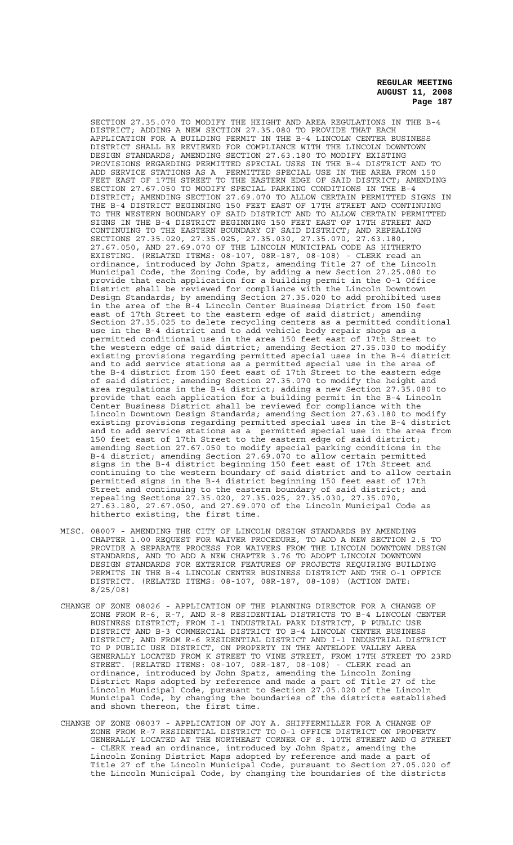SECTION 27.35.070 TO MODIFY THE HEIGHT AND AREA REGULATIONS IN THE B-4 DISTRICT; ADDING A NEW SECTION 27.35.080 TO PROVIDE THAT EACH APPLICATION FOR A BUILDING PERMIT IN THE B-4 LINCOLN CENTER BUSINESS DISTRICT SHALL BE REVIEWED FOR COMPLIANCE WITH THE LINCOLN DOWNTOWN DESIGN STANDARDS; AMENDING SECTION 27.63.180 TO MODIFY EXISTING PROVISIONS REGARDING PERMITTED SPECIAL USES IN THE B-4 DISTRICT AND TO ADD SERVICE STATIONS AS A PERMITTED SPECIAL USE IN THE AREA FROM 150 FEET EAST OF 17TH STREET TO THE EASTERN EDGE OF SAID DISTRICT; AMENDING SECTION 27.67.050 TO MODIFY SPECIAL PARKING CONDITIONS IN THE B-4 DISTRICT; AMENDING SECTION 27.69.070 TO ALLOW CERTAIN PERMITTED SIGNS IN THE B-4 DISTRICT BEGINNING 150 FEET EAST OF 17TH STREET AND CONTINUING TO THE WESTERN BOUNDARY OF SAID DISTRICT AND TO ALLOW CERTAIN PERMITTED SIGNS IN THE B-4 DISTRICT BEGINNING 150 FEET EAST OF 17TH STREET AND CONTINUING TO THE EASTERN BOUNDARY OF SAID DISTRICT; AND REPEALING SECTIONS 27.35.020, 27.35.025, 27.35.030, 27.35.070, 27.63.180, 27.67.050, AND 27.69.070 OF THE LINCOLN MUNICIPAL CODE AS HITHERTO EXISTING. (RELATED ITEMS: 08-107, 08R-187, 08-108) - CLERK read an ordinance, introduced by John Spatz, amending Title 27 of the Lincoln Municipal Code, the Zoning Code, by adding a new Section 27.25.080 to provide that each application for a building permit in the O-1 Office District shall be reviewed for compliance with the Lincoln Downtown Design Standards; by amending Section 27.35.020 to add prohibited uses in the area of the B-4 Lincoln Center Business District from 150 feet east of 17th Street to the eastern edge of said district; amending Section 27.35.025 to delete recycling centers as a permitted conditional use in the B-4 district and to add vehicle body repair shops as a permitted conditional use in the area 150 feet east of 17th Street to the western edge of said district; amending Section 27.35.030 to modify existing provisions regarding permitted special uses in the B-4 district and to add service stations as a permitted special use in the area of the B-4 district from 150 feet east of 17th Street to the eastern edge of said district; amending Section 27.35.070 to modify the height and area regulations in the B-4 district; adding a new Section 27.35.080 to provide that each application for a building permit in the B-4 Lincoln Center Business District shall be reviewed for compliance with the Lincoln Downtown Design Standards; amending Section 27.63.180 to modify existing provisions regarding permitted special uses in the B-4 district and to add service stations as a permitted special use in the area from 150 feet east of 17th Street to the eastern edge of said district; amending Section 27.67.050 to modify special parking conditions in the B-4 district; amending Section 27.69.070 to allow certain permitted signs in the B-4 district beginning 150 feet east of 17th Street and continuing to the western boundary of said district and to allow certain permitted signs in the B-4 district beginning 150 feet east of 17th Street and continuing to the eastern boundary of said district; and repealing Sections 27.35.020, 27.35.025, 27.35.030, 27.35.070, 27.63.180, 27.67.050, and 27.69.070 of the Lincoln Municipal Code as hitherto existing, the first time.

- MISC. 08007 AMENDING THE CITY OF LINCOLN DESIGN STANDARDS BY AMENDING CHAPTER 1.00 REQUEST FOR WAIVER PROCEDURE, TO ADD A NEW SECTION 2.5 TO PROVIDE A SEPARATE PROCESS FOR WAIVERS FROM THE LINCOLN DOWNTOWN DESIGN STANDARDS, AND TO ADD A NEW CHAPTER 3.76 TO ADOPT LINCOLN DOWNTOWN DESIGN STANDARDS FOR EXTERIOR FEATURES OF PROJECTS REQUIRING BUILDING PERMITS IN THE B-4 LINCOLN CENTER BUSINESS DISTRICT AND THE O-1 OFFICE DISTRICT. (RELATED ITEMS: 08-107, 08R-187, 08-108) (ACTION DATE: 8/25/08)
- CHANGE OF ZONE 08026 APPLICATION OF THE PLANNING DIRECTOR FOR A CHANGE OF ZONE FROM R-6, R-7, AND R-8 RESIDENTIAL DISTRICTS TO B-4 LINCOLN CENTER BUSINESS DISTRICT; FROM I-1 INDUSTRIAL PARK DISTRICT, P PUBLIC USE DISTRICT AND B-3 COMMERCIAL DISTRICT TO B-4 LINCOLN CENTER BUSINESS DISTRICT; AND FROM R-6 RESIDENTIAL DISTRICT AND I-1 INDUSTRIAL DISTRICT TO P PUBLIC USE DISTRICT, ON PROPERTY IN THE ANTELOPE VALLEY AREA GENERALLY LOCATED FROM K STREET TO VINE STREET, FROM 17TH STREET TO 23RD STREET. (RELATED ITEMS: 08-107, 08R-187, 08-108) - CLERK read an ordinance, introduced by John Spatz, amending the Lincoln Zoning District Maps adopted by reference and made a part of Title 27 of the Lincoln Municipal Code, pursuant to Section 27.05.020 of the Lincoln Municipal Code, by changing the boundaries of the districts established and shown thereon, the first time.
- CHANGE OF ZONE 08037 APPLICATION OF JOY A. SHIFFERMILLER FOR A CHANGE OF ZONE FROM R-7 RESIDENTIAL DISTRICT TO O-1 OFFICE DISTRICT ON PROPERTY GENERALLY LOCATED AT THE NORTHEAST CORNER OF S. 10TH STREET AND G STREET - CLERK read an ordinance, introduced by John Spatz, amending the Lincoln Zoning District Maps adopted by reference and made a part of Title 27 of the Lincoln Municipal Code, pursuant to Section 27.05.020 of the Lincoln Municipal Code, by changing the boundaries of the districts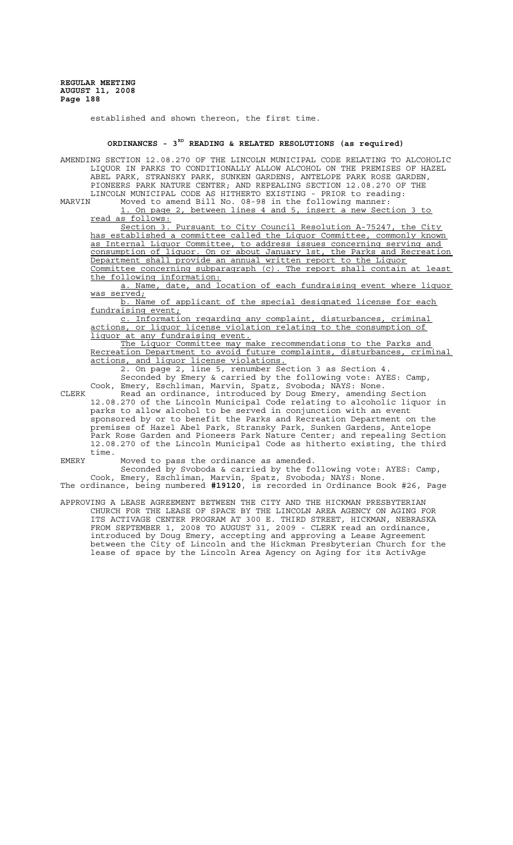established and shown thereon, the first time.

## **ORDINANCES - 3RD READING & RELATED RESOLUTIONS (as required)**

AMENDING SECTION 12.08.270 OF THE LINCOLN MUNICIPAL CODE RELATING TO ALCOHOLIC LIQUOR IN PARKS TO CONDITIONALLY ALLOW ALCOHOL ON THE PREMISES OF HAZEL ABEL PARK, STRANSKY PARK, SUNKEN GARDENS, ANTELOPE PARK ROSE GARDEN, PIONEERS PARK NATURE CENTER; AND REPEALING SECTION 12.08.270 OF THE LINCOLN MUNICIPAL CODE AS HITHERTO EXISTING - PRIOR to reading:<br>MARVIN Moved to amend Bill No. 08-98 in the following manner: Moved to amend Bill No. 08-98 in the following manner: 1. On page 2, between lines 4 and 5, insert a new Section 3 to read as follows: Section 3. Pursuant to City Council Resolution A-75247, the City has established a committee called the Liquor Committee, commonly known as Internal Liquor Committee, to address issues concerning serving and consumption of liquor. On or about January 1st, the Parks and Recreation Department shall provide an annual written report to the Liquor Committee concerning subparagraph (c). The report shall contain at least the following information: a. Name, date, and location of each fundraising event where liquor was served; b. Name of applicant of the special designated license for each fundraising event; c. Information regarding any complaint, disturbances, criminal actions, or liquor license violation relating to the consumption of liquor at any fundraising event. The Liquor Committee may make recommendations to the Parks and Recreation Department to avoid future complaints, disturbances, criminal actions, and liquor license violations. 2. On page 2, line 5, renumber Section 3 as Section 4. Seconded by Emery & carried by the following vote: AYES: Camp, Cook, Emery, Eschliman, Marvin, Spatz, Svoboda; NAYS: None. CLERK Read an ordinance, introduced by Doug Emery, amending Section 12.08.270 of the Lincoln Municipal Code relating to alcoholic liquor in parks to allow alcohol to be served in conjunction with an event sponsored by or to benefit the Parks and Recreation Department on the premises of Hazel Abel Park, Stransky Park, Sunken Gardens, Antelope Park Rose Garden and Pioneers Park Nature Center; and repealing Section 12.08.270 of the Lincoln Municipal Code as hitherto existing, the third time. EMERY Moved to pass the ordinance as amended. Seconded by Svoboda & carried by the following vote: AYES: Camp, Cook, Emery, Eschliman, Marvin, Spatz, Svoboda; NAYS: None.

The ordinance, being numbered **#19120**, is recorded in Ordinance Book #26, Page

APPROVING A LEASE AGREEMENT BETWEEN THE CITY AND THE HICKMAN PRESBYTERIAN CHURCH FOR THE LEASE OF SPACE BY THE LINCOLN AREA AGENCY ON AGING FOR ITS ACTIVAGE CENTER PROGRAM AT 300 E. THIRD STREET, HICKMAN, NEBRASKA FROM SEPTEMBER 1, 2008 TO AUGUST 31, 2009 - CLERK read an ordinance, introduced by Doug Emery, accepting and approving a Lease Agreement between the City of Lincoln and the Hickman Presbyterian Church for the lease of space by the Lincoln Area Agency on Aging for its ActivAge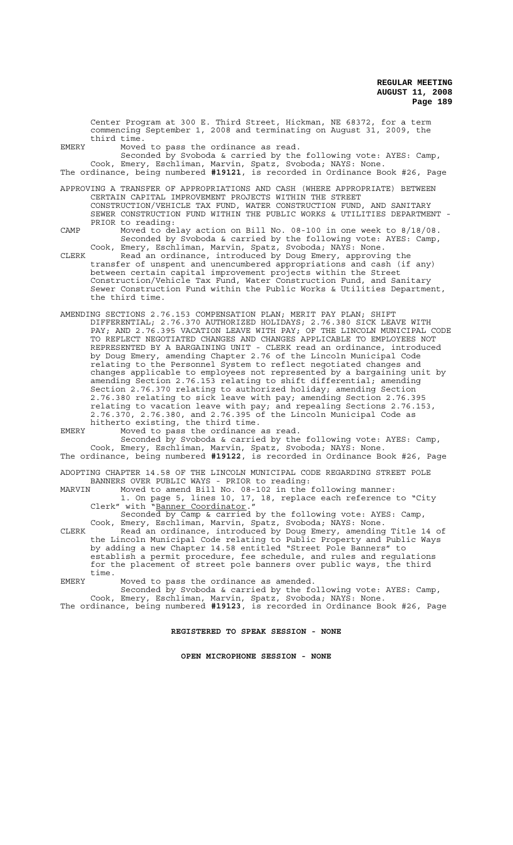Center Program at 300 E. Third Street, Hickman, NE 68372, for a term commencing September 1, 2008 and terminating on August 31, 2009, the third time.

EMERY Moved to pass the ordinance as read.

Seconded by Svoboda & carried by the following vote: AYES: Camp, Cook, Emery, Eschliman, Marvin, Spatz, Svoboda; NAYS: None. The ordinance, being numbered **#19121**, is recorded in Ordinance Book #26, Page

APPROVING A TRANSFER OF APPROPRIATIONS AND CASH (WHERE APPROPRIATE) BETWEEN CERTAIN CAPITAL IMPROVEMENT PROJECTS WITHIN THE STREET CONSTRUCTION/VEHICLE TAX FUND, WATER CONSTRUCTION FUND, AND SANITARY SEWER CONSTRUCTION FUND WITHIN THE PUBLIC WORKS & UTILITIES DEPARTMENT - PRIOR to reading:

CAMP Moved to delay action on Bill No. 08-100 in one week to 8/18/08. Seconded by Svoboda & carried by the following vote: AYES: Camp, Cook, Emery, Eschliman, Marvin, Spatz, Svoboda; NAYS: None.

CLERK Read an ordinance, introduced by Doug Emery, approving the transfer of unspent and unencumbered appropriations and cash (if any) between certain capital improvement projects within the Street Construction/Vehicle Tax Fund, Water Construction Fund, and Sanitary Sewer Construction Fund within the Public Works & Utilities Department, the third time.

AMENDING SECTIONS 2.76.153 COMPENSATION PLAN; MERIT PAY PLAN; SHIFT DIFFERENTIAL; 2.76.370 AUTHORIZED HOLIDAYS; 2.76.380 SICK LEAVE WITH PAY; AND 2.76.395 VACATION LEAVE WITH PAY; OF THE LINCOLN MUNICIPAL CODE TO REFLECT NEGOTIATED CHANGES AND CHANGES APPLICABLE TO EMPLOYEES NOT REPRESENTED BY A BARGAINING UNIT - CLERK read an ordinance, introduced by Doug Emery, amending Chapter 2.76 of the Lincoln Municipal Code relating to the Personnel System to reflect negotiated changes and changes applicable to employees not represented by a bargaining unit by amending Section 2.76.153 relating to shift differential; amending Section 2.76.370 relating to authorized holiday; amending Section 2.76.380 relating to sick leave with pay; amending Section 2.76.395 relating to vacation leave with pay; and repealing Sections 2.76.153, 2.76.370, 2.76.380, and 2.76.395 of the Lincoln Municipal Code as hitherto existing, the third time.

EMERY Moved to pass the ordinance as read.

Seconded by Svoboda & carried by the following vote: AYES: Camp, Cook, Emery, Eschliman, Marvin, Spatz, Svoboda; NAYS: None. The ordinance, being numbered **#19122**, is recorded in Ordinance Book #26, Page

ADOPTING CHAPTER 14.58 OF THE LINCOLN MUNICIPAL CODE REGARDING STREET POLE BANNERS OVER PUBLIC WAYS - PRIOR to reading:

MARVIN Moved to amend Bill No. 08-102 in the following manner: 1. On page 5, lines 10, 17, 18, replace each reference to "City Clerk" with "Banner Coordinator."

Seconded by Camp & carried by the following vote: AYES: Camp, Cook, Emery, Eschliman, Marvin, Spatz, Svoboda; NAYS: None. CLERK Read an ordinance, introduced by Doug Emery, amending Title 14 of

the Lincoln Municipal Code relating to Public Property and Public Ways by adding a new Chapter 14.58 entitled "Street Pole Banners" to establish a permit procedure, fee schedule, and rules and regulations for the placement of street pole banners over public ways, the third time.

EMERY Moved to pass the ordinance as amended.

Seconded by Svoboda & carried by the following vote: AYES: Camp, Cook, Emery, Eschliman, Marvin, Spatz, Svoboda; NAYS: None.

The ordinance, being numbered **#19123**, is recorded in Ordinance Book #26, Page

# **REGISTERED TO SPEAK SESSION - NONE**

**OPEN MICROPHONE SESSION - NONE**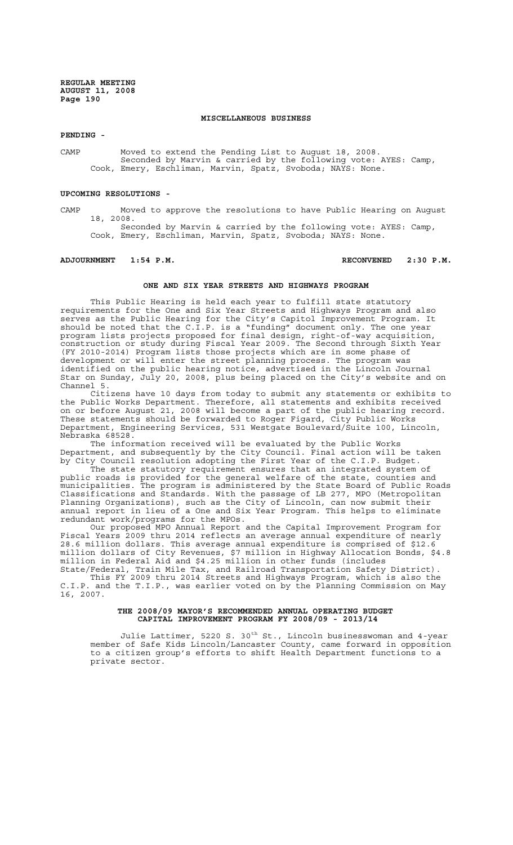### **MISCELLANEOUS BUSINESS**

**PENDING -**

CAMP Moved to extend the Pending List to August 18, 2008. Seconded by Marvin & carried by the following vote: AYES: Camp, Cook, Emery, Eschliman, Marvin, Spatz, Svoboda; NAYS: None.

#### **UPCOMING RESOLUTIONS -**

CAMP Moved to approve the resolutions to have Public Hearing on August 18, 2008.

Seconded by Marvin & carried by the following vote: AYES: Camp, Cook, Emery, Eschliman, Marvin, Spatz, Svoboda; NAYS: None.

# **ADJOURNMENT 1:54 P.M. RECONVENED 2:30 P.M.**

### **ONE AND SIX YEAR STREETS AND HIGHWAYS PROGRAM**

This Public Hearing is held each year to fulfill state statutory requirements for the One and Six Year Streets and Highways Program and also serves as the Public Hearing for the City's Capitol Improvement Program. It should be noted that the C.I.P. is a "funding" document only. The one year program lists projects proposed for final design, right-of-way acquisition, construction or study during Fiscal Year 2009. The Second through Sixth Year (FY 2010-2014) Program lists those projects which are in some phase of development or will enter the street planning process. The program was identified on the public hearing notice, advertised in the Lincoln Journal Star on Sunday, July 20, 2008, plus being placed on the City's website and on Channel 5.

Citizens have 10 days from today to submit any statements or exhibits to the Public Works Department. Therefore, all statements and exhibits received on or before August 21, 2008 will become a part of the public hearing record. These statements should be forwarded to Roger Figard, City Public Works Department, Engineering Services, 531 Westgate Boulevard/Suite 100, Lincoln, Nebraska 68528.

The information received will be evaluated by the Public Works Department, and subsequently by the City Council. Final action will be taken by City Council resolution adopting the First Year of the C.I.P. Budget.

The state statutory requirement ensures that an integrated system of public roads is provided for the general welfare of the state, counties and municipalities. The program is administered by the State Board of Public Roads Classifications and Standards. With the passage of LB 277, MPO (Metropolitan Planning Organizations), such as the City of Lincoln, can now submit their annual report in lieu of a One and Six Year Program. This helps to eliminate redundant work/programs for the MPOs.

Our proposed MPO Annual Report and the Capital Improvement Program for Fiscal Years 2009 thru 2014 reflects an average annual expenditure of nearly 28.6 million dollars. This average annual expenditure is comprised of \$12.6 million dollars of City Revenues, \$7 million in Highway Allocation Bonds, \$4.8 million in Federal Aid and \$4.25 million in other funds (includes State/Federal, Train Mile Tax, and Railroad Transportation Safety District).

 This FY 2009 thru 2014 Streets and Highways Program, which is also the C.I.P. and the T.I.P., was earlier voted on by the Planning Commission on May 16, 2007.

#### **THE 2008/09 MAYOR'S RECOMMENDED ANNUAL OPERATING BUDGET CAPITAL IMPROVEMENT PROGRAM FY 2008/09 - 2013/14**

Julie Lattimer, 5220 S. 30<sup>th</sup> St., Lincoln businesswoman and 4-year member of Safe Kids Lincoln/Lancaster County, came forward in opposition to a citizen group's efforts to shift Health Department functions to a private sector.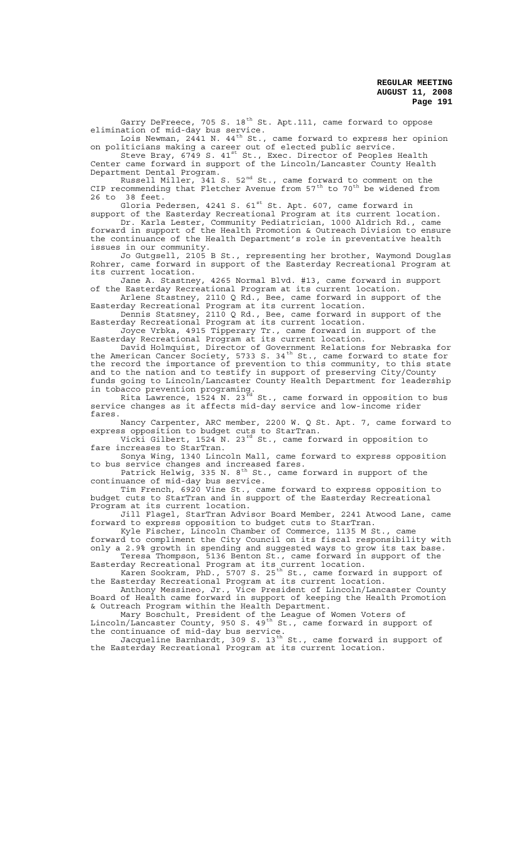Garry DeFreece, 705 S. 18<sup>th</sup> St. Apt.111, came forward to oppose elimination of mid-day bus service.

Lois Newman, 24 $\stackrel{\text{4}}{4}$ 1 N. 44 $\scriptstyle\text{th}$  St., came forward to express her opinion on politicians making a career out of elected public service.

Steve Bray, 6749 S. 41<sup>st</sup> St., Exec. Director of Peoples Health Center came forward in support of the Lincoln/Lancaster County Health Department Dental Program.

Russell Miller, 341 S. 52 $^{\rm nd}$  St., came forward to comment on the CIP recommending that Fletcher Avenue from  $57^{\text{th}}$  to  $70^{\text{th}}$  be widened from 26 to 38 feet.

Gloria Pedersen, 4241 S. 61<sup>st</sup> St. Apt. 607, came forward in

support of the Easterday Recreational Program at its current location. Dr. Karla Lester, Community Pediatrician, 1000 Aldrich Rd., came forward in support of the Health Promotion & Outreach Division to ensure the continuance of the Health Department's role in preventative health issues in our community.

Jo Gutgsell, 2105 B St., representing her brother, Waymond Douglas Rohrer, came forward in support of the Easterday Recreational Program at its current location.

Jane A. Stastney, 4265 Normal Blvd. #13, came forward in support of the Easterday Recreational Program at its current location.

Arlene Stastney, 2110 Q Rd., Bee, came forward in support of the Easterday Recreational Program at its current location. Dennis Statsney, 2110 Q Rd., Bee, came forward in support of the

Easterday Recreational Program at its current location. Joyce Vrbka, 4915 Tipperary Tr., came forward in support of the

Easterday Recreational Program at its current location. David Holmquist, Director of Government Relations for Nebraska for the American Cancer Society, 5733 S. 34<sup>th</sup> St., came forward to state for the record the importance of prevention to this community, to this state and to the nation and to testify in support of preserving City/County funds going to Lincoln/Lancaster County Health Department for leadership in tobacco prevention programing.

Rita Lawrence,  $1524$  N.  $23^{\rm rd}$  St., came forward in opposition to bus service changes as it affects mid-day service and low-income rider fares.

Nancy Carpenter, ARC member, 2200 W. Q St. Apt. 7, came forward to express opposition to budget cuts to StarTran.

Vicki Gilbert, 1524 N. 23rd St., came forward in opposition to fare increases to StarTran.

Sonya Wing, 1340 Lincoln Mall, came forward to express opposition to bus service changes and increased fares.

Patrick Helwig, 335 N.  $8^{\text{th}}$  St., came forward in support of the continuance of mid-day bus service.

Tim French, 6920 Vine St., came forward to express opposition to budget cuts to StarTran and in support of the Easterday Recreational Program at its current location.

Jill Flagel, StarTran Advisor Board Member, 2241 Atwood Lane, came forward to express opposition to budget cuts to StarTran.

Kyle Fischer, Lincoln Chamber of Commerce, 1135 M St., came forward to compliment the City Council on its fiscal responsibility with only a 2.9% growth in spending and suggested ways to grow its tax base.

Teresa Thompson, 5136 Benton St., came forward in support of the Easterday Recreational Program at its current location. Karen Sookram, PhD., 5707 S. 25th St., came forward in support of

the Easterday Recreational Program at its current location.

Anthony Messineo, Jr., Vice President of Lincoln/Lancaster County Board of Health came forward in support of keeping the Health Promotion & Outreach Program within the Health Department.

Mary Boschult, President of the League of Women Voters of Lincoln/Lancaster County, 950 S. 49th St., came forward in support of the continuance of mid-day bus service.

Jacqueline Barnhardt, 309 S. 13 $^{\rm th}$  St., came forward in support of the Easterday Recreational Program at its current location.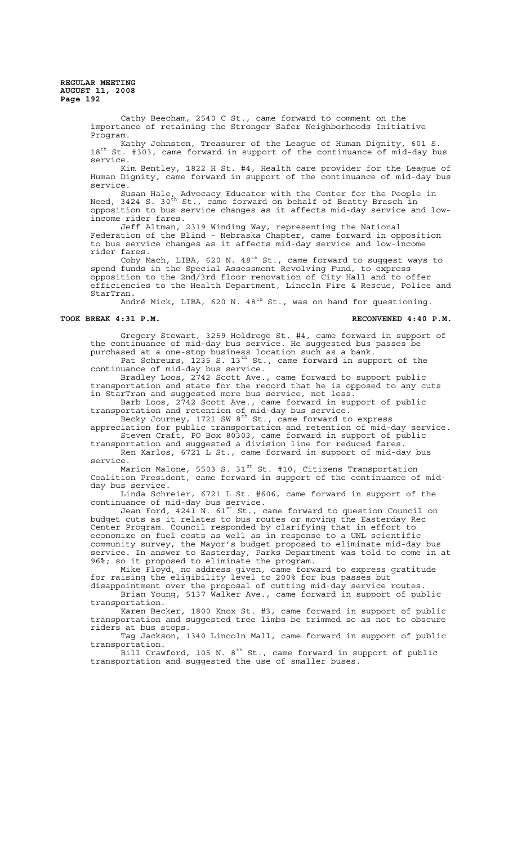Cathy Beecham, 2540 C St., came forward to comment on the importance of retaining the Stronger Safer Neighborhoods Initiative Program.

Kathy Johnston, Treasurer of the League of Human Dignity, 601 S. 18th St. #303, came forward in support of the continuance of mid-day bus service.

Kim Bentley, 1822 H St. #4, Health care provider for the League of Human Dignity, came forward in support of the continuance of mid-day bus service.

Susan Hale, Advocacy Educator with the Center for the People in Need, 3424 S. 30<sup>th</sup> St., came forward on behalf of Beatty Brasch in opposition to bus service changes as it affects mid-day service and lowincome rider fares.

Jeff Altman, 2319 Winding Way, representing the National Federation of the Blind - Nebraska Chapter, came forward in opposition to bus service changes as it affects mid-day service and low-income rider fares.

Coby Mach, LIBA, 620 N. 48<sup>th</sup> St., came forward to suggest ways to spend funds in the Special Assessment Revolving Fund, to express opposition to the 2nd/3rd floor renovation of City Hall and to offer efficiencies to the Health Department, Lincoln Fire & Rescue, Police and StarTran.

André Mick, LIBA, 620 N.  $48<sup>th</sup>$  St., was on hand for questioning.

### **TOOK BREAK 4:31 P.M. RECONVENED 4:40 P.M.**

Gregory Stewart, 3259 Holdrege St. #4, came forward in support of the continuance of mid-day bus service. He suggested bus passes be purchased at a one-stop business location such as a bank.

Pat Schreurs, 1235 S. 13<sup>th</sup> St., came forward in support of the continuance of mid-day bus service.

Bradley Loos, 2742 Scott Ave., came forward to support public transportation and state for the record that he is opposed to any cuts in StarTran and suggested more bus service, not less.

Barb Loos, 2742 Scott Ave., came forward in support of public transportation and retention of mid-day bus service.

Becky Journey, 1721 SW  $8^\text{th}$  St., came forward to express appreciation for public transportation and retention of mid-day service. Steven Craft, PO Box 80303, came forward in support of public

transportation and suggested a division line for reduced fares. Ren Karlos, 6721 L St., came forward in support of mid-day bus service.

Marion Malone, 5503 S. 31<sup>st</sup> St. #10, Citizens Transportation Coalition President, came forward in support of the continuance of midday bus service.

Linda Schreier, 6721 L St. #606, came forward in support of the continuance of mid-day bus service.

Jean Ford, 4241 N. 61 $^{\rm st}$  St., came forward to question Council on budget cuts as it relates to bus routes or moving the Easterday Rec Center Program. Council responded by clarifying that in effort to economize on fuel costs as well as in response to a UNL scientific community survey, the Mayor's budget proposed to eliminate mid-day bus service. In answer to Easterday, Parks Department was told to come in at 96%; so it proposed to eliminate the program.

Mike Floyd, no address given, came forward to express gratitude Mike Floyd, no address given, came forward to express gratitude<br>for raising the eligibility level to 200% for bus passes but

disappointment over the proposal of cutting mid-day service routes. Brian Young, 5137 Walker Ave., came forward in support of public transportation.

Karen Becker, 1800 Knox St. #3, came forward in support of public transportation and suggested tree limbs be trimmed so as not to obscure riders at bus stops.

Tag Jackson, 1340 Lincoln Mall, came forward in support of public transportation.

Bill Crawford, 105 N. 8<sup>th</sup> St., came forward in support of public transportation and suggested the use of smaller buses.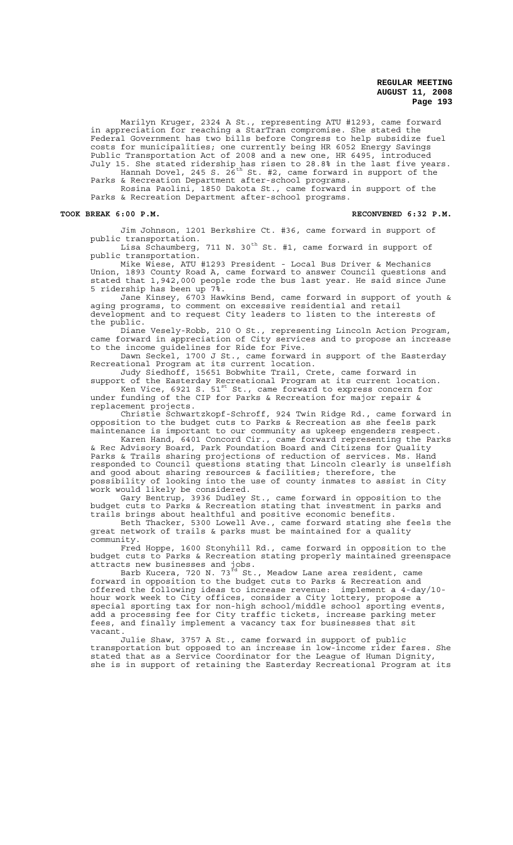Marilyn Kruger, 2324 A St., representing ATU #1293, came forward in appreciation for reaching a StarTran compromise. She stated the Federal Government has two bills before Congress to help subsidize fuel costs for municipalities; one currently being HR 6052 Energy Savings Public Transportation Act of 2008 and a new one, HR 6495, introduced July 15. She stated ridership has risen to 28.8% in the last five years.

Hannah Dovel, 245 S. 2 $\tilde{6}^{\text{th}}$  St. #2, came forward in support of the Parks & Recreation Department after-school programs.

Rosina Paolini, 1850 Dakota St., came forward in support of the Parks & Recreation Department after-school programs.

#### TOOK BREAK 6:00 P.M. **RECONVENED 6:32 P.M.** RECONVENED 6:32 P.M.

Jim Johnson, 1201 Berkshire Ct. #36, came forward in support of public transportation.

Lisa Schaumberg, 711 N. 30<sup>th</sup> St. #1, came forward in support of public transportation.

Mike Wiese, ATU #1293 President - Local Bus Driver & Mechanics Union, 1893 County Road A, came forward to answer Council questions and stated that 1,942,000 people rode the bus last year. He said since June 5 ridership has been up 7%.

Jane Kinsey, 6703 Hawkins Bend, came forward in support of youth & aging programs, to comment on excessive residential and retail development and to request City leaders to listen to the interests of the public.

Diane Vesely-Robb, 210 O St., representing Lincoln Action Program, came forward in appreciation of City services and to propose an increase to the income guidelines for Ride for Five.

Dawn Seckel, 1700 J St., came forward in support of the Easterday Recreational Program at its current location.

Judy Siedhoff, 15651 Bobwhite Trail, Crete, came forward in support of the Easterday Recreational Program at its current location.

Ken Vice, 6921 S.  $51^{\rm st}$  St., came forward to express concern for under funding of the CIP for Parks & Recreation for major repair & replacement projects.

Christie Schwartzkopf-Schroff, 924 Twin Ridge Rd., came forward in opposition to the budget cuts to Parks & Recreation as she feels park maintenance is important to our community as upkeep engenders respect.

Karen Hand, 6401 Concord Cir., came forward representing the Parks & Rec Advisory Board, Park Foundation Board and Citizens for Quality Parks & Trails sharing projections of reduction of services. Ms. Hand responded to Council questions stating that Lincoln clearly is unselfish and good about sharing resources & facilities; therefore, the possibility of looking into the use of county inmates to assist in City work would likely be considered.

Gary Bentrup, 3936 Dudley St., came forward in opposition to the budget cuts to Parks & Recreation stating that investment in parks and trails brings about healthful and positive economic benefits.

Beth Thacker, 5300 Lowell Ave., came forward stating she feels the great network of trails & parks must be maintained for a quality community.

Fred Hoppe, 1600 Stonyhill Rd., came forward in opposition to the budget cuts to Parks & Recreation stating properly maintained greenspace attracts new businesses and jobs.<br>Barb Kucera, 720 N. 73<sup>rd</sup> St., Meadow Lane area resident, came

Barb Kucera, 720 N. 73 $^{\vec{\text{rd}}}$  St., Meadow Lane area resident, came forward in opposition to the budget cuts to Parks & Recreation and offered the following ideas to increase revenue: implement a 4-day/10 hour work week to City offices, consider a City lottery, propose a special sporting tax for non-high school/middle school sporting events, add a processing fee for City traffic tickets, increase parking meter fees, and finally implement a vacancy tax for businesses that sit vacant.

Julie Shaw, 3757 A St., came forward in support of public transportation but opposed to an increase in low-income rider fares. She stated that as a Service Coordinator for the League of Human Dignity, she is in support of retaining the Easterday Recreational Program at its